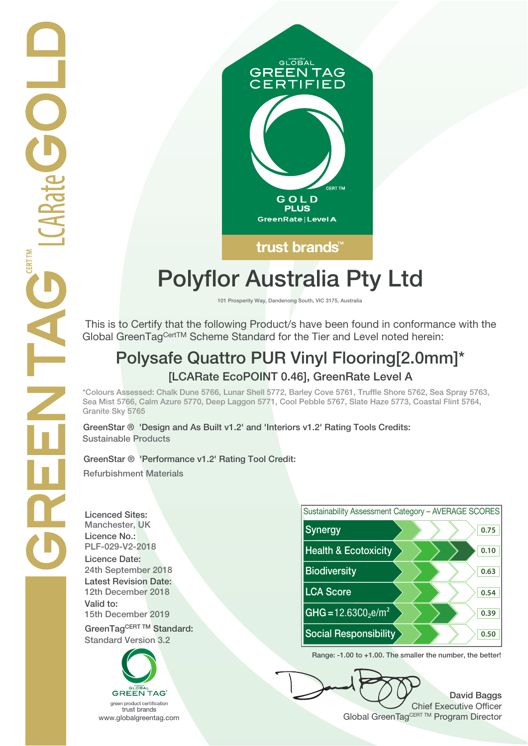

# **Polyflor Australia Pty Ltd**

**101 Prosperity Way, Dandenong South, VIC 3175, Australia**

 This is to Certify that the following Product/s have been found in conformance with the Global GreenTagCertTM Scheme Standard for the Tier and Level noted herein:

## **Polysafe Quattro PUR Vinyl Flooring[2.0mm]\* [LCARate EcoPOINT 0.46], GreenRate Level A**

**\*Colours Assessed: Chalk Dune 5766, Lunar Shell 5772, Barley Cove 5761, Truffle Shore 5762, Sea Spray 5763, Sea Mist 5766, Calm Azure 5770, Deep Laggon 5771, Cool Pebble 5767, Slate Haze 5773, Coastal Flint 5764, Granite Sky 5765**

**GreenStar ® 'Design and As Built v1.2' and 'Interiors v1.2' Rating Tools Credits: Sustainable Products**

#### **GreenStar ® 'Performance v1.2' Rating Tool Credit:**

**Refurbishment Materials**

**Licenced Sites: Licence No.: Licence Date: Latest Revision Date: Valid to:**

**Standard Version 3.2**





**Range: -1.00 to +1.00. The smaller the number, the better!**

**David Baggs** Chief Executive Officer WWW.globalgreentag.com **Program Director** Clobal GreenTagCERT TM Program Director